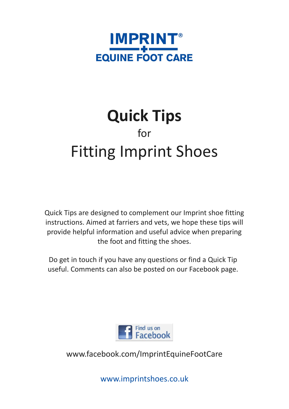

## **Quick Tips** for Fitting Imprint Shoes

Quick Tips are designed to complement our Imprint shoe fitting instructions. Aimed at farriers and vets, we hope these tips will provide helpful information and useful advice when preparing the foot and fitting the shoes.

Do get in touch if you have any questions or find a Quick Tip useful. Comments can also be posted on our Facebook page.



www.facebook.com/ImprintEquineFootCare

www.imprintshoes.co.uk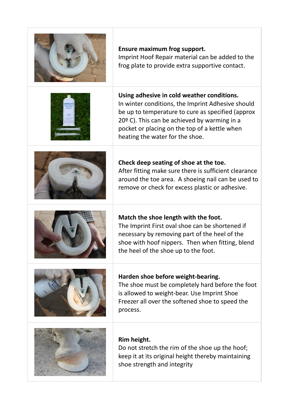| <b>Ensure maximum frog support.</b><br>Imprint Hoof Repair material can be added to the<br>frog plate to provide extra supportive contact.                                                                                                                                                 |
|--------------------------------------------------------------------------------------------------------------------------------------------------------------------------------------------------------------------------------------------------------------------------------------------|
| Using adhesive in cold weather conditions.<br>In winter conditions, the Imprint Adhesive should<br>be up to temperature to cure as specified (approx<br>$20°$ C). This can be achieved by warming in a<br>pocket or placing on the top of a kettle when<br>heating the water for the shoe. |
| Check deep seating of shoe at the toe.<br>After fitting make sure there is sufficient clearance<br>around the toe area. A shoeing nail can be used to<br>remove or check for excess plastic or adhesive.                                                                                   |
| Match the shoe length with the foot.<br>The Imprint First oval shoe can be shortened if<br>necessary by removing part of the heel of the<br>shoe with hoof nippers. Then when fitting, blend<br>the heel of the shoe up to the foot.                                                       |
| Harden shoe before weight-bearing.<br>The shoe must be completely hard before the foot<br>is allowed to weight-bear. Use Imprint Shoe<br>Freezer all over the softened shoe to speed the<br>process.                                                                                       |
| Rim height.<br>Do not stretch the rim of the shoe up the hoof;<br>keep it at its original height thereby maintaining<br>shoe strength and integrity                                                                                                                                        |